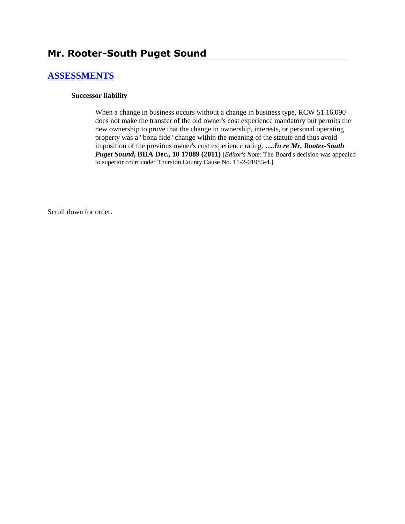# **[ASSESSMENTS](http://www.biia.wa.gov/SDSubjectIndex.html#ASSESSMENTS)**

#### **Successor liability**

When a change in business occurs without a change in business type, RCW 51.16.090 does not make the transfer of the old owner's cost experience mandatory but permits the new ownership to prove that the change in ownership, interests, or personal operating property was a "bona fide" change within the meaning of the statute and thus avoid imposition of the previous owner's cost experience rating. **….***In re Mr. Rooter-South Puget Sound***, BIIA Dec., 10 17889 (2011)** [*Editor's Note*: The Board's decision was appealed to superior court under Thurston County Cause No. 11-2-01983-4.]

Scroll down for order.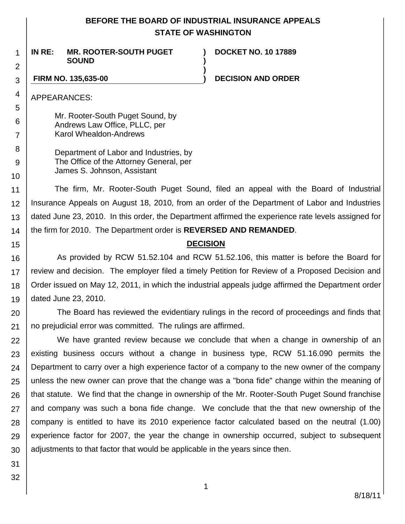# **BEFORE THE BOARD OF INDUSTRIAL INSURANCE APPEALS STATE OF WASHINGTON**

**) )**

**)**

2 **IN RE: MR. ROOTER-SOUTH PUGET SOUND**

**DOCKET NO. 10 17889**

## **FIRM NO. 135,635-00 ) DECISION AND ORDER**

APPEARANCES:

1

3

4

5 6

7

8 9

10

15

Mr. Rooter-South Puget Sound, by Andrews Law Office, PLLC, per Karol Whealdon-Andrews

Department of Labor and Industries, by The Office of the Attorney General, per James S. Johnson, Assistant

11 12 13 14 The firm, Mr. Rooter-South Puget Sound, filed an appeal with the Board of Industrial Insurance Appeals on August 18, 2010, from an order of the Department of Labor and Industries dated June 23, 2010. In this order, the Department affirmed the experience rate levels assigned for the firm for 2010. The Department order is **REVERSED AND REMANDED**.

## **DECISION**

16 17 18 19 As provided by RCW 51.52.104 and RCW 51.52.106, this matter is before the Board for review and decision. The employer filed a timely Petition for Review of a Proposed Decision and Order issued on May 12, 2011, in which the industrial appeals judge affirmed the Department order dated June 23, 2010.

20 21 The Board has reviewed the evidentiary rulings in the record of proceedings and finds that no prejudicial error was committed. The rulings are affirmed.

22 23 24 25 26 27 28 29 30 We have granted review because we conclude that when a change in ownership of an existing business occurs without a change in business type, RCW 51.16.090 permits the Department to carry over a high experience factor of a company to the new owner of the company unless the new owner can prove that the change was a "bona fide" change within the meaning of that statute. We find that the change in ownership of the Mr. Rooter-South Puget Sound franchise and company was such a bona fide change. We conclude that the that new ownership of the company is entitled to have its 2010 experience factor calculated based on the neutral (1.00) experience factor for 2007, the year the change in ownership occurred, subject to subsequent adjustments to that factor that would be applicable in the years since then.

31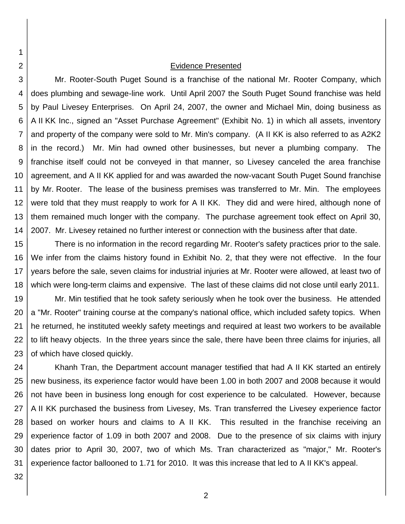#### Evidence Presented

3 4 5 6 7 8 9 10 11 12 13 14 Mr. Rooter-South Puget Sound is a franchise of the national Mr. Rooter Company, which does plumbing and sewage-line work. Until April 2007 the South Puget Sound franchise was held by Paul Livesey Enterprises. On April 24, 2007, the owner and Michael Min, doing business as A II KK Inc., signed an "Asset Purchase Agreement" (Exhibit No. 1) in which all assets, inventory and property of the company were sold to Mr. Min's company. (A II KK is also referred to as A2K2 in the record.) Mr. Min had owned other businesses, but never a plumbing company. The franchise itself could not be conveyed in that manner, so Livesey canceled the area franchise agreement, and A II KK applied for and was awarded the now-vacant South Puget Sound franchise by Mr. Rooter. The lease of the business premises was transferred to Mr. Min. The employees were told that they must reapply to work for A II KK. They did and were hired, although none of them remained much longer with the company. The purchase agreement took effect on April 30, 2007. Mr. Livesey retained no further interest or connection with the business after that date.

15 16 17 18 There is no information in the record regarding Mr. Rooter's safety practices prior to the sale. We infer from the claims history found in Exhibit No. 2, that they were not effective. In the four years before the sale, seven claims for industrial injuries at Mr. Rooter were allowed, at least two of which were long-term claims and expensive. The last of these claims did not close until early 2011.

19 20 21 22 23 Mr. Min testified that he took safety seriously when he took over the business. He attended a "Mr. Rooter" training course at the company's national office, which included safety topics. When he returned, he instituted weekly safety meetings and required at least two workers to be available to lift heavy objects. In the three years since the sale, there have been three claims for injuries, all of which have closed quickly.

24 25 26 27 28 29 30 31 Khanh Tran, the Department account manager testified that had A II KK started an entirely new business, its experience factor would have been 1.00 in both 2007 and 2008 because it would not have been in business long enough for cost experience to be calculated. However, because A II KK purchased the business from Livesey, Ms. Tran transferred the Livesey experience factor based on worker hours and claims to A II KK. This resulted in the franchise receiving an experience factor of 1.09 in both 2007 and 2008. Due to the presence of six claims with injury dates prior to April 30, 2007, two of which Ms. Tran characterized as "major," Mr. Rooter's experience factor ballooned to 1.71 for 2010. It was this increase that led to A II KK's appeal.

32

1

2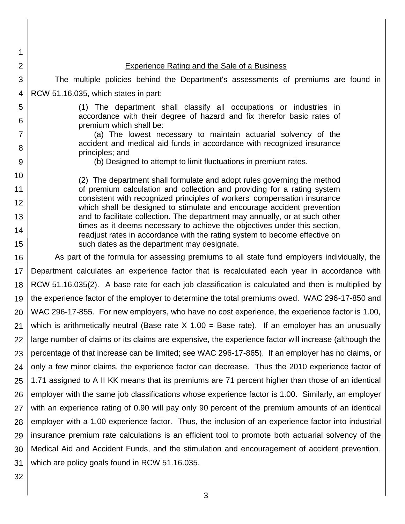| 1              |                                                                                                                                                         |  |  |
|----------------|---------------------------------------------------------------------------------------------------------------------------------------------------------|--|--|
| 2              | <b>Experience Rating and the Sale of a Business</b>                                                                                                     |  |  |
| 3              | The multiple policies behind the Department's assessments of premiums are found in                                                                      |  |  |
| 4              | RCW 51.16.035, which states in part:                                                                                                                    |  |  |
| 5              | (1) The department shall classify all occupations or industries in                                                                                      |  |  |
| 6              | accordance with their degree of hazard and fix therefor basic rates of<br>premium which shall be:                                                       |  |  |
| $\overline{7}$ | (a) The lowest necessary to maintain actuarial solvency of the                                                                                          |  |  |
| 8              | accident and medical aid funds in accordance with recognized insurance<br>principles; and                                                               |  |  |
| 9              | (b) Designed to attempt to limit fluctuations in premium rates.                                                                                         |  |  |
| 10             | (2) The department shall formulate and adopt rules governing the method                                                                                 |  |  |
| 11             | of premium calculation and collection and providing for a rating system                                                                                 |  |  |
| 12             | consistent with recognized principles of workers' compensation insurance<br>which shall be designed to stimulate and encourage accident prevention      |  |  |
| 13             | and to facilitate collection. The department may annually, or at such other                                                                             |  |  |
| 14             | times as it deems necessary to achieve the objectives under this section,<br>readjust rates in accordance with the rating system to become effective on |  |  |
| 15             | such dates as the department may designate.                                                                                                             |  |  |
| 16             | As part of the formula for assessing premiums to all state fund employers individually, the                                                             |  |  |
| 17             | Department calculates an experience factor that is recalculated each year in accordance with                                                            |  |  |
| 18             | RCW 51.16.035(2). A base rate for each job classification is calculated and then is multiplied by                                                       |  |  |
| 19             | the experience factor of the employer to determine the total premiums owed. WAC 296-17-850 and                                                          |  |  |
| 20             | WAC 296-17-855. For new employers, who have no cost experience, the experience factor is 1.00,                                                          |  |  |
| 21             | which is arithmetically neutral (Base rate $X$ 1.00 = Base rate). If an employer has an unusually                                                       |  |  |
| 22             | large number of claims or its claims are expensive, the experience factor will increase (although the                                                   |  |  |
| 23             | percentage of that increase can be limited; see WAC 296-17-865). If an employer has no claims, or                                                       |  |  |
| 24             | only a few minor claims, the experience factor can decrease. Thus the 2010 experience factor of                                                         |  |  |
| 25             | 1.71 assigned to A II KK means that its premiums are 71 percent higher than those of an identical                                                       |  |  |
| 26             | employer with the same job classifications whose experience factor is 1.00. Similarly, an employer                                                      |  |  |
| 27             | with an experience rating of 0.90 will pay only 90 percent of the premium amounts of an identical                                                       |  |  |
| 28             | employer with a 1.00 experience factor. Thus, the inclusion of an experience factor into industrial                                                     |  |  |
| 29             | insurance premium rate calculations is an efficient tool to promote both actuarial solvency of the                                                      |  |  |
| 30             | Medical Aid and Accident Funds, and the stimulation and encouragement of accident prevention,                                                           |  |  |
| 31             | which are policy goals found in RCW 51.16.035.                                                                                                          |  |  |
| 32             |                                                                                                                                                         |  |  |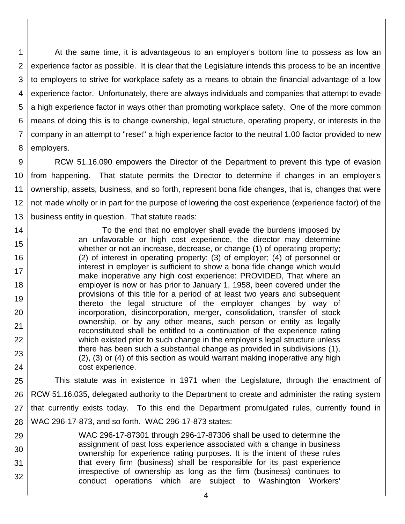1 2 3 4 5 6 7 8 At the same time, it is advantageous to an employer's bottom line to possess as low an experience factor as possible. It is clear that the Legislature intends this process to be an incentive to employers to strive for workplace safety as a means to obtain the financial advantage of a low experience factor. Unfortunately, there are always individuals and companies that attempt to evade a high experience factor in ways other than promoting workplace safety. One of the more common means of doing this is to change ownership, legal structure, operating property, or interests in the company in an attempt to "reset" a high experience factor to the neutral 1.00 factor provided to new employers.

9 10 11 12 13 RCW 51.16.090 empowers the Director of the Department to prevent this type of evasion from happening. That statute permits the Director to determine if changes in an employer's ownership, assets, business, and so forth, represent bona fide changes, that is, changes that were not made wholly or in part for the purpose of lowering the cost experience (experience factor) of the business entity in question. That statute reads:

14 15 16 17 18 19 20 21 22 23 24 To the end that no employer shall evade the burdens imposed by an unfavorable or high cost experience, the director may determine whether or not an increase, decrease, or change (1) of operating property; (2) of interest in operating property; (3) of employer; (4) of personnel or interest in employer is sufficient to show a bona fide change which would make inoperative any high cost experience: PROVIDED, That where an employer is now or has prior to January 1, 1958, been covered under the provisions of this title for a period of at least two years and subsequent thereto the legal structure of the employer changes by way of incorporation, disincorporation, merger, consolidation, transfer of stock ownership, or by any other means, such person or entity as legally reconstituted shall be entitled to a continuation of the experience rating which existed prior to such change in the employer's legal structure unless there has been such a substantial change as provided in subdivisions (1), (2), (3) or (4) of this section as would warrant making inoperative any high cost experience.

25 26 27 28 This statute was in existence in 1971 when the Legislature, through the enactment of RCW 51.16.035, delegated authority to the Department to create and administer the rating system that currently exists today. To this end the Department promulgated rules, currently found in WAC 296-17-873, and so forth. WAC 296-17-873 states:

29 30 31 32 WAC 296-17-87301 through 296-17-87306 shall be used to determine the assignment of past loss experience associated with a change in business ownership for experience rating purposes. It is the intent of these rules that every firm (business) shall be responsible for its past experience irrespective of ownership as long as the firm (business) continues to conduct operations which are subject to Washington Workers'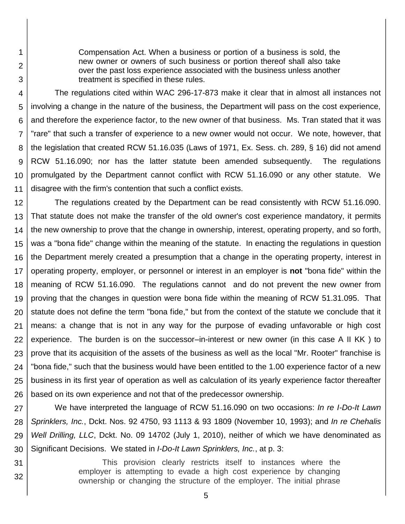Compensation Act. When a business or portion of a business is sold, the new owner or owners of such business or portion thereof shall also take over the past loss experience associated with the business unless another treatment is specified in these rules.

1

2

3

31

32

4 5 6 7 8 9 10 11 The regulations cited within WAC 296-17-873 make it clear that in almost all instances not involving a change in the nature of the business, the Department will pass on the cost experience, and therefore the experience factor, to the new owner of that business. Ms. Tran stated that it was "rare" that such a transfer of experience to a new owner would not occur. We note, however, that the legislation that created RCW 51.16.035 (Laws of 1971, Ex. Sess. ch. 289, § 16) did not amend RCW 51.16.090; nor has the latter statute been amended subsequently. The regulations promulgated by the Department cannot conflict with RCW 51.16.090 or any other statute. We disagree with the firm's contention that such a conflict exists.

12 13 14 15 16 17 18 19 20 21 22 23 24 25 26 The regulations created by the Department can be read consistently with RCW 51.16.090. That statute does not make the transfer of the old owner's cost experience mandatory, it permits the new ownership to prove that the change in ownership, interest, operating property, and so forth, was a "bona fide" change within the meaning of the statute. In enacting the regulations in question the Department merely created a presumption that a change in the operating property, interest in operating property, employer, or personnel or interest in an employer is **not** "bona fide" within the meaning of RCW 51.16.090. The regulations cannot and do not prevent the new owner from proving that the changes in question were bona fide within the meaning of RCW 51.31.095. That statute does not define the term "bona fide," but from the context of the statute we conclude that it means: a change that is not in any way for the purpose of evading unfavorable or high cost experience. The burden is on the successor–in-interest or new owner (in this case A II KK ) to prove that its acquisition of the assets of the business as well as the local "Mr. Rooter" franchise is "bona fide," such that the business would have been entitled to the 1.00 experience factor of a new business in its first year of operation as well as calculation of its yearly experience factor thereafter based on its own experience and not that of the predecessor ownership.

27 28 29 30 We have interpreted the language of RCW 51.16.090 on two occasions: *In re I-Do-It Lawn Sprinklers, Inc.*, Dckt. Nos. 92 4750, 93 1113 & 93 1809 (November 10, 1993); and *In re Chehalis Well Drilling, LLC*, Dckt. No. 09 14702 (July 1, 2010), neither of which we have denominated as Significant Decisions. We stated in *I-Do-It Lawn Sprinklers, Inc.*, at p. 3:

> This provision clearly restricts itself to instances where the employer is attempting to evade a high cost experience by changing ownership or changing the structure of the employer. The initial phrase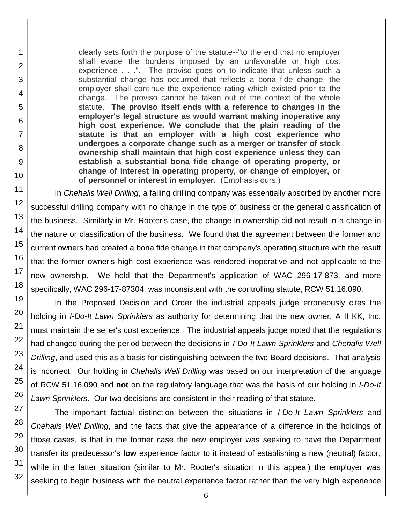clearly sets forth the purpose of the statute--"to the end that no employer shall evade the burdens imposed by an unfavorable or high cost experience . . .". The proviso goes on to indicate that unless such a substantial change has occurred that reflects a bona fide change, the employer shall continue the experience rating which existed prior to the change. The proviso cannot be taken out of the context of the whole statute. **The proviso itself ends with a reference to changes in the employer's legal structure as would warrant making inoperative any high cost experience. We conclude that the plain reading of the statute is that an employer with a high cost experience who undergoes a corporate change such as a merger or transfer of stock ownership shall maintain that high cost experience unless they can establish a substantial bona fide change of operating property, or change of interest in operating property, or change of employer, or of personnel or interest in employer.** (Emphasis ours.)

In *Chehalis Well Drilling*, a failing drilling company was essentially absorbed by another more successful drilling company with no change in the type of business or the general classification of the business. Similarly in Mr. Rooter's case, the change in ownership did not result in a change in the nature or classification of the business. We found that the agreement between the former and current owners had created a bona fide change in that company's operating structure with the result that the former owner's high cost experience was rendered inoperative and not applicable to the new ownership. We held that the Department's application of WAC 296-17-873, and more specifically, WAC 296-17-87304, was inconsistent with the controlling statute, RCW 51.16.090.

In the Proposed Decision and Order the industrial appeals judge erroneously cites the holding in *I-Do-It Lawn Sprinklers* as authority for determining that the new owner, A II KK, Inc. must maintain the seller's cost experience. The industrial appeals judge noted that the regulations had changed during the period between the decisions in *I-Do-It Lawn Sprinklers* and *Chehalis Well Drilling*, and used this as a basis for distinguishing between the two Board decisions. That analysis is incorrect. Our holding in *Chehalis Well Drilling* was based on our interpretation of the language of RCW 51.16.090 and **not** on the regulatory language that was the basis of our holding in *I-Do-It Lawn Sprinklers*. Our two decisions are consistent in their reading of that statute.

32 The important factual distinction between the situations in *I-Do-It Lawn Sprinklers* and *Chehalis Well Drilling*, and the facts that give the appearance of a difference in the holdings of those cases, is that in the former case the new employer was seeking to have the Department transfer its predecessor's **low** experience factor to it instead of establishing a new (neutral) factor, while in the latter situation (similar to Mr. Rooter's situation in this appeal) the employer was seeking to begin business with the neutral experience factor rather than the very **high** experience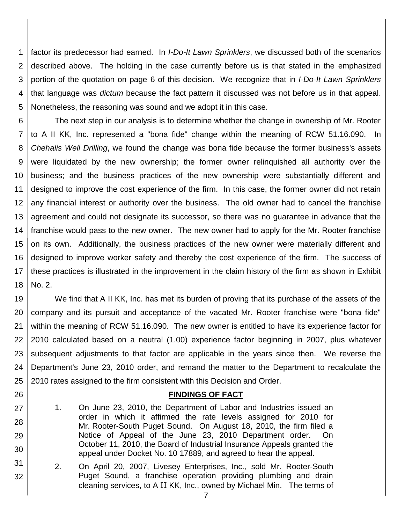1 2 3 4 5 factor its predecessor had earned. In *I-Do-It Lawn Sprinklers*, we discussed both of the scenarios described above. The holding in the case currently before us is that stated in the emphasized portion of the quotation on page 6 of this decision. We recognize that in *I-Do-It Lawn Sprinklers* that language was *dictum* because the fact pattern it discussed was not before us in that appeal. Nonetheless, the reasoning was sound and we adopt it in this case.

6 7 8 9 10 11 12 13 14 15 16 17 18 The next step in our analysis is to determine whether the change in ownership of Mr. Rooter to A II KK, Inc. represented a "bona fide" change within the meaning of RCW 51.16.090. In *Chehalis Well Drilling*, we found the change was bona fide because the former business's assets were liquidated by the new ownership; the former owner relinquished all authority over the business; and the business practices of the new ownership were substantially different and designed to improve the cost experience of the firm. In this case, the former owner did not retain any financial interest or authority over the business. The old owner had to cancel the franchise agreement and could not designate its successor, so there was no guarantee in advance that the franchise would pass to the new owner. The new owner had to apply for the Mr. Rooter franchise on its own. Additionally, the business practices of the new owner were materially different and designed to improve worker safety and thereby the cost experience of the firm. The success of these practices is illustrated in the improvement in the claim history of the firm as shown in Exhibit No. 2.

19 20 21 22 23 24 25 We find that A II KK, Inc. has met its burden of proving that its purchase of the assets of the company and its pursuit and acceptance of the vacated Mr. Rooter franchise were "bona fide" within the meaning of RCW 51.16.090. The new owner is entitled to have its experience factor for 2010 calculated based on a neutral (1.00) experience factor beginning in 2007, plus whatever subsequent adjustments to that factor are applicable in the years since then. We reverse the Department's June 23, 2010 order, and remand the matter to the Department to recalculate the 2010 rates assigned to the firm consistent with this Decision and Order.

### **FINDINGS OF FACT**

1. On June 23, 2010, the Department of Labor and Industries issued an order in which it affirmed the rate levels assigned for 2010 for Mr. Rooter-South Puget Sound. On August 18, 2010, the firm filed a Notice of Appeal of the June 23, 2010 Department order. On October 11, 2010, the Board of Industrial Insurance Appeals granted the appeal under Docket No. 10 17889, and agreed to hear the appeal.

26

27

28

29

30

31

- 2. On April 20, 2007, Livesey Enterprises, Inc., sold Mr. Rooter-South Puget Sound, a franchise operation providing plumbing and drain cleaning services, to A II KK, Inc., owned by Michael Min. The terms of
	- 7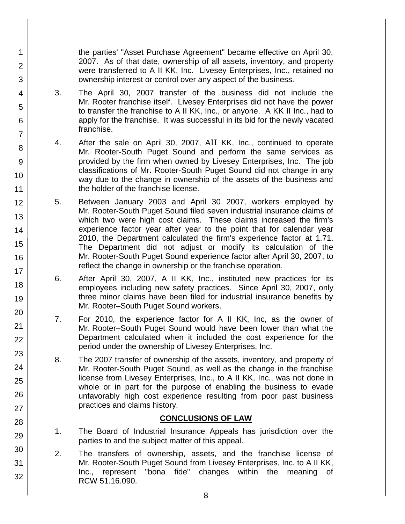the parties' "Asset Purchase Agreement" became effective on April 30, 2007. As of that date, ownership of all assets, inventory, and property were transferred to A II KK, Inc. Livesey Enterprises, Inc., retained no ownership interest or control over any aspect of the business.

3. The April 30, 2007 transfer of the business did not include the Mr. Rooter franchise itself. Livesey Enterprises did not have the power to transfer the franchise to A II KK, Inc., or anyone. A KK II Inc., had to apply for the franchise. It was successful in its bid for the newly vacated franchise.

1

2

3

4

5

6

7

8

9

10

11

12

13

14

15

16

17 18

19

20

21 22

23

24

25

26

27

28

29

30

31

32

- 4. After the sale on April 30, 2007, AII KK, Inc., continued to operate Mr. Rooter-South Puget Sound and perform the same services as provided by the firm when owned by Livesey Enterprises, Inc. The job classifications of Mr. Rooter-South Puget Sound did not change in any way due to the change in ownership of the assets of the business and the holder of the franchise license.
- 5. Between January 2003 and April 30 2007, workers employed by Mr. Rooter-South Puget Sound filed seven industrial insurance claims of which two were high cost claims. These claims increased the firm's experience factor year after year to the point that for calendar year 2010, the Department calculated the firm's experience factor at 1.71. The Department did not adjust or modify its calculation of the Mr. Rooter-South Puget Sound experience factor after April 30, 2007, to reflect the change in ownership or the franchise operation.
- 6. After April 30, 2007, A II KK, Inc., instituted new practices for its employees including new safety practices. Since April 30, 2007, only three minor claims have been filed for industrial insurance benefits by Mr. Rooter–South Puget Sound workers.
- 7. For 2010, the experience factor for A II KK, Inc, as the owner of Mr. Rooter–South Puget Sound would have been lower than what the Department calculated when it included the cost experience for the period under the ownership of Livesey Enterprises, Inc.
- 8. The 2007 transfer of ownership of the assets, inventory, and property of Mr. Rooter-South Puget Sound, as well as the change in the franchise license from Livesey Enterprises, Inc., to A II KK, Inc., was not done in whole or in part for the purpose of enabling the business to evade unfavorably high cost experience resulting from poor past business practices and claims history.

# **CONCLUSIONS OF LAW**

- 1. The Board of Industrial Insurance Appeals has jurisdiction over the parties to and the subject matter of this appeal.
- 2. The transfers of ownership, assets, and the franchise license of Mr. Rooter-South Puget Sound from Livesey Enterprises, Inc. to A II KK, Inc., represent "bona fide" changes within the meaning of RCW 51.16.090.